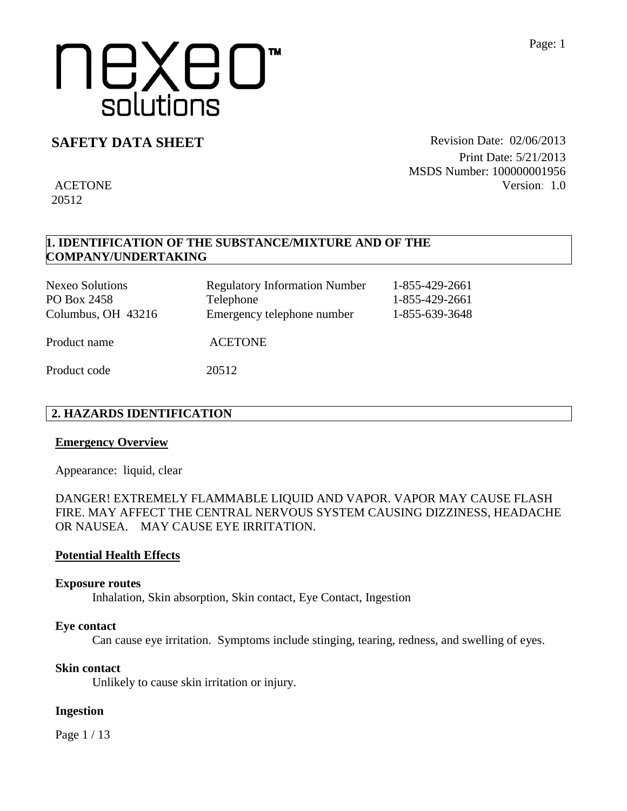### **SAFETY DATA SHEET** Revision Date: 02/06/2013

ACETONE

20512

Print Date: 5/21/2013 MSDS Number: 100000001956 Version: 1.0

## **1. IDENTIFICATION OF THE SUBSTANCE/MIXTURE AND OF THE COMPANY/UNDERTAKING**

| <b>Nexeo Solutions</b><br>PO Box 2458<br>Columbus, OH 43216 | <b>Regulatory Information Number</b><br>Telephone<br>Emergency telephone number | 1-855-429-2661<br>1-855-429-2661<br>1-855-639-3648 |
|-------------------------------------------------------------|---------------------------------------------------------------------------------|----------------------------------------------------|
| Product name                                                | <b>ACETONE</b>                                                                  |                                                    |
| Product code                                                | 20512                                                                           |                                                    |

### **2. HAZARDS IDENTIFICATION**

#### **Emergency Overview**

Appearance:liquid, clear

DANGER! EXTREMELY FLAMMABLE LIQUID AND VAPOR. VAPOR MAY CAUSE FLASH FIRE. MAY AFFECT THE CENTRAL NERVOUS SYSTEM CAUSING DIZZINESS, HEADACHE OR NAUSEA. MAY CAUSE EYE IRRITATION.

#### **Potential Health Effects**

#### **Exposure routes**

Inhalation, Skin absorption, Skin contact, Eye Contact, Ingestion

#### **Eye contact**

Can cause eye irritation. Symptoms include stinging, tearing, redness, and swelling of eyes.

#### **Skin contact**

Unlikely to cause skin irritation or injury.

#### **Ingestion**

Page 1 / 13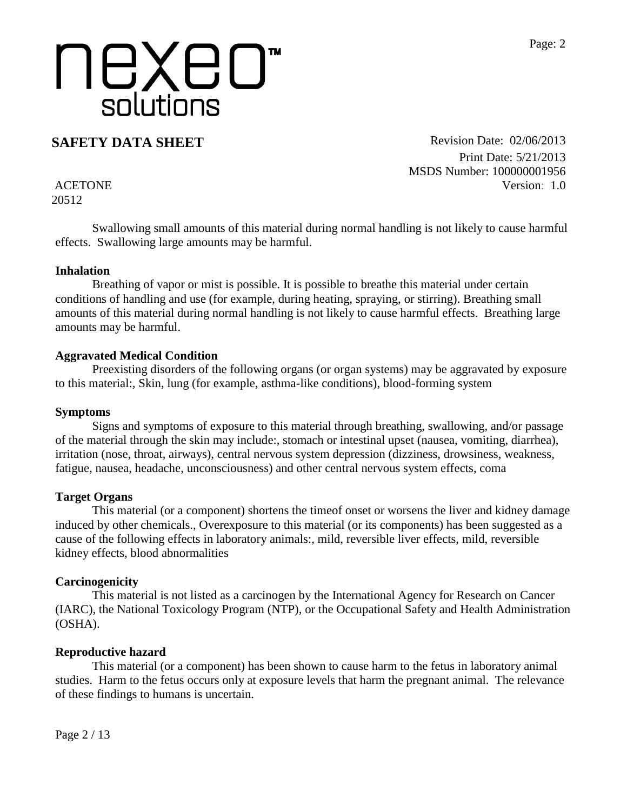**SAFETY DATA SHEET** Revision Date: 02/06/2013 Print Date: 5/21/2013 MSDS Number: 100000001956 Version: 1.0

ACETONE 20512

Swallowing small amounts of this material during normal handling is not likely to cause harmful effects. Swallowing large amounts may be harmful.

#### **Inhalation**

Breathing of vapor or mist is possible. It is possible to breathe this material under certain conditions of handling and use (for example, during heating, spraying, or stirring). Breathing small amounts of this material during normal handling is not likely to cause harmful effects. Breathing large amounts may be harmful.

#### **Aggravated Medical Condition**

Preexisting disorders of the following organs (or organ systems) may be aggravated by exposure to this material:, Skin, lung (for example, asthma-like conditions), blood-forming system

#### **Symptoms**

Signs and symptoms of exposure to this material through breathing, swallowing, and/or passage of the material through the skin may include:, stomach or intestinal upset (nausea, vomiting, diarrhea), irritation (nose, throat, airways), central nervous system depression (dizziness, drowsiness, weakness, fatigue, nausea, headache, unconsciousness) and other central nervous system effects, coma

#### **Target Organs**

This material (or a component) shortens the timeof onset or worsens the liver and kidney damage induced by other chemicals., Overexposure to this material (or its components) has been suggested as a cause of the following effects in laboratory animals:, mild, reversible liver effects, mild, reversible kidney effects, blood abnormalities

#### **Carcinogenicity**

This material is not listed as a carcinogen by the International Agency for Research on Cancer (IARC), the National Toxicology Program (NTP), or the Occupational Safety and Health Administration (OSHA).

#### **Reproductive hazard**

This material (or a component) has been shown to cause harm to the fetus in laboratory animal studies. Harm to the fetus occurs only at exposure levels that harm the pregnant animal. The relevance of these findings to humans is uncertain.

Page 2 / 13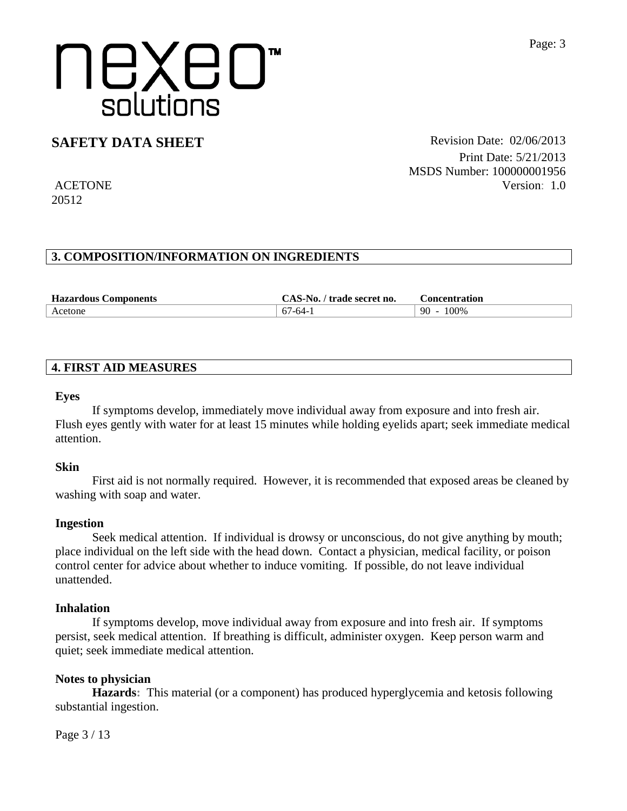## **SAFETY DATA SHEET** Revision Date: 02/06/2013

ACETONE 20512

Print Date: 5/21/2013 MSDS Number: 100000001956 Version: 1.0

### **3. COMPOSITION/INFORMATION ON INGREDIENTS**

| <b>Hazardous Components</b> | $\mathbb{C}$ AS-No.<br>trade secret no. | Concentration |
|-----------------------------|-----------------------------------------|---------------|
| Acetone                     | $67-64-$                                | 100\%<br>90   |

#### **4. FIRST AID MEASURES**

#### **Eyes**

If symptoms develop, immediately move individual away from exposure and into fresh air. Flush eyes gently with water for at least 15 minutes while holding eyelids apart; seek immediate medical attention.

#### **Skin**

First aid is not normally required. However, it is recommended that exposed areas be cleaned by washing with soap and water.

#### **Ingestion**

Seek medical attention. If individual is drowsy or unconscious, do not give anything by mouth; place individual on the left side with the head down. Contact a physician, medical facility, or poison control center for advice about whether to induce vomiting. If possible, do not leave individual unattended.

#### **Inhalation**

If symptoms develop, move individual away from exposure and into fresh air. If symptoms persist, seek medical attention. If breathing is difficult, administer oxygen. Keep person warm and quiet; seek immediate medical attention.

#### **Notes to physician**

**Hazards:** This material (or a component) has produced hyperglycemia and ketosis following substantial ingestion.

Page 3 / 13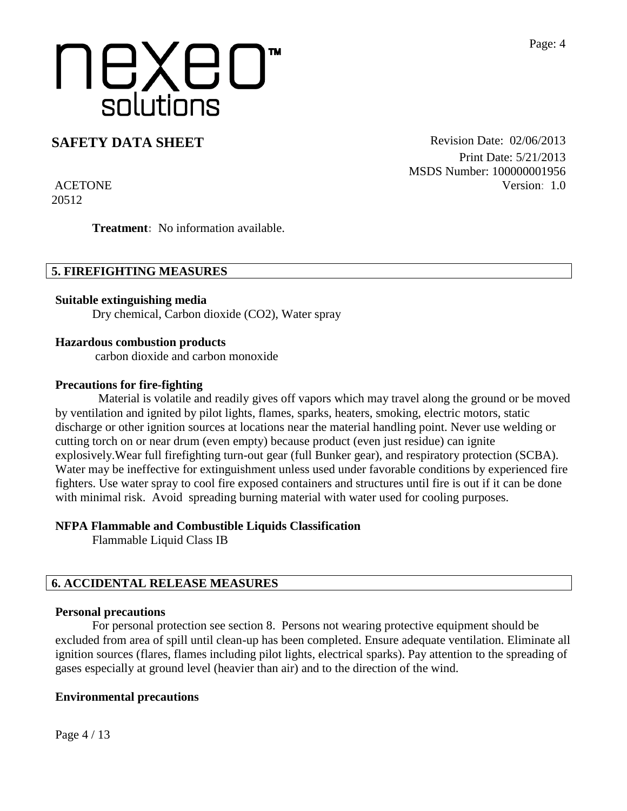### **SAFETY DATA SHEET** Revision Date: 02/06/2013

Print Date: 5/21/2013 MSDS Number: 100000001956 Version: 1.0

ACETONE 20512

**Treatment:** No information available.

#### **5. FIREFIGHTING MEASURES**

**Suitable extinguishing media** Dry chemical, Carbon dioxide (CO2), Water spray

#### **Hazardous combustion products**

carbon dioxide and carbon monoxide

#### **Precautions for fire-fighting**

 Material is volatile and readily gives off vapors which may travel along the ground or be moved by ventilation and ignited by pilot lights, flames, sparks, heaters, smoking, electric motors, static discharge or other ignition sources at locations near the material handling point. Never use welding or cutting torch on or near drum (even empty) because product (even just residue) can ignite explosively.Wear full firefighting turn-out gear (full Bunker gear), and respiratory protection (SCBA). Water may be ineffective for extinguishment unless used under favorable conditions by experienced fire fighters. Use water spray to cool fire exposed containers and structures until fire is out if it can be done with minimal risk. Avoid spreading burning material with water used for cooling purposes.

#### **NFPA Flammable and Combustible Liquids Classification**

Flammable Liquid Class IB

#### **6. ACCIDENTAL RELEASE MEASURES**

#### **Personal precautions**

For personal protection see section 8.Persons not wearing protective equipment should be excluded from area of spill until clean-up has been completed. Ensure adequate ventilation. Eliminate all ignition sources (flares, flames including pilot lights, electrical sparks). Pay attention to the spreading of gases especially at ground level (heavier than air) and to the direction of the wind.

#### **Environmental precautions**

Page 4 / 13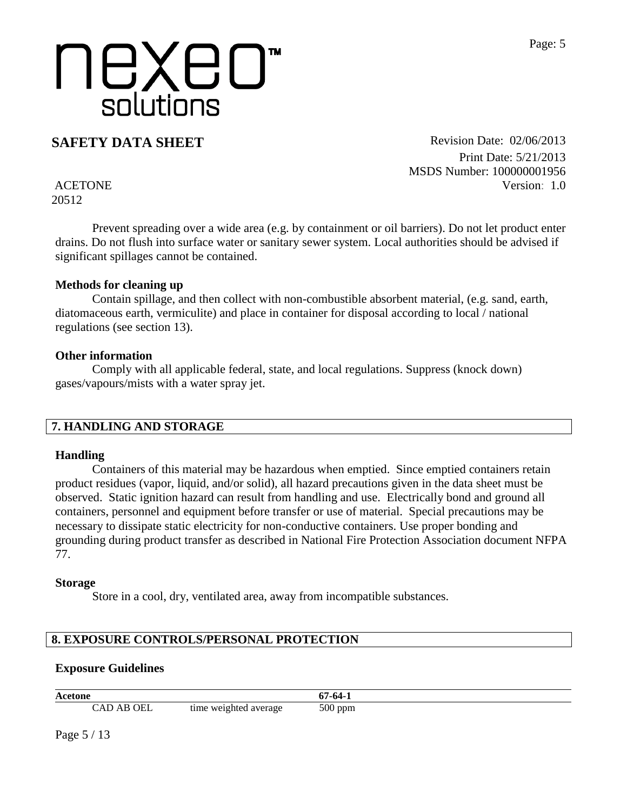**SAFETY DATA SHEET** Revision Date: 02/06/2013 Print Date: 5/21/2013 MSDS Number: 100000001956 Version: 1.0

ACETONE 20512

Prevent spreading over a wide area (e.g. by containment or oil barriers). Do not let product enter drains. Do not flush into surface water or sanitary sewer system. Local authorities should be advised if significant spillages cannot be contained.

#### **Methods for cleaning up**

Contain spillage, and then collect with non-combustible absorbent material, (e.g. sand, earth, diatomaceous earth, vermiculite) and place in container for disposal according to local / national regulations (see section 13).

#### **Other information**

Comply with all applicable federal, state, and local regulations. Suppress (knock down) gases/vapours/mists with a water spray jet.

#### **7. HANDLING AND STORAGE**

#### **Handling**

Containers of this material may be hazardous when emptied. Since emptied containers retain product residues (vapor, liquid, and/or solid), all hazard precautions given in the data sheet must be observed. Static ignition hazard can result from handling and use. Electrically bond and ground all containers, personnel and equipment before transfer or use of material. Special precautions may be necessary to dissipate static electricity for non-conductive containers. Use proper bonding and grounding during product transfer as described in National Fire Protection Association document NFPA 77.

#### **Storage**

Store in a cool, dry, ventilated area, away from incompatible substances.

## **8. EXPOSURE CONTROLS/PERSONAL PROTECTION**

### **Exposure Guidelines**

| Acetone               |                       | $.7 - 64 - 7$ |
|-----------------------|-----------------------|---------------|
| <b>AB OEL</b><br>. AD | time weighted average | $500$ ppm     |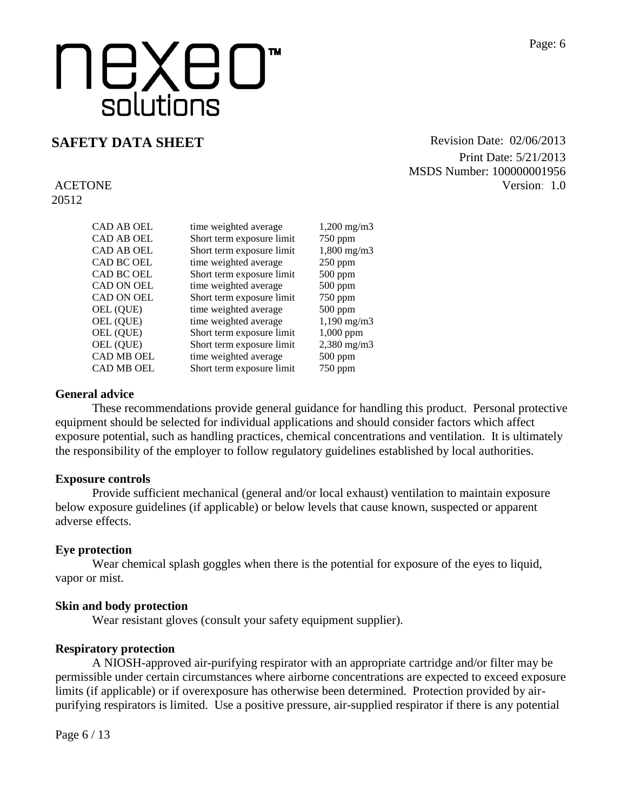**SAFETY DATA SHEET** Revision Date: 02/06/2013 Print Date: 5/21/2013 MSDS Number: 100000001956 Version: 1.0

ACETONE 20512

| CAD AB OEL        | time weighted average     | $1,200 \text{ mg/m}$ |
|-------------------|---------------------------|----------------------|
| CAD AB OEL        | Short term exposure limit | $750$ ppm            |
| CAD AB OEL        | Short term exposure limit | $1,800 \text{ mg/m}$ |
| CAD BC OEL        | time weighted average     | $250$ ppm            |
| CAD BC OEL        | Short term exposure limit | $500$ ppm            |
| <b>CAD ON OEL</b> | time weighted average     | $500$ ppm            |
| <b>CAD ON OEL</b> | Short term exposure limit | $750$ ppm            |
| OEL (QUE)         | time weighted average     | $500$ ppm            |
| OEL (QUE)         | time weighted average     | $1,190 \text{ mg/m}$ |
| OEL (QUE)         | Short term exposure limit | $1,000$ ppm          |
| OEL (QUE)         | Short term exposure limit | $2,380$ mg/m $3$     |
| CAD MB OEL        | time weighted average     | $500$ ppm            |
| CAD MB OEL        | Short term exposure limit | 750 ppm              |
|                   |                           |                      |

#### **General advice**

These recommendations provide general guidance for handling this product. Personal protective equipment should be selected for individual applications and should consider factors which affect exposure potential, such as handling practices, chemical concentrations and ventilation. It is ultimately the responsibility of the employer to follow regulatory guidelines established by local authorities.

#### **Exposure controls**

Provide sufficient mechanical (general and/or local exhaust) ventilation to maintain exposure below exposure guidelines (if applicable) or below levels that cause known, suspected or apparent adverse effects.

#### **Eye protection**

Wear chemical splash goggles when there is the potential for exposure of the eyes to liquid, vapor or mist.

#### **Skin and body protection**

Wear resistant gloves (consult your safety equipment supplier).

#### **Respiratory protection**

A NIOSH-approved air-purifying respirator with an appropriate cartridge and/or filter may be permissible under certain circumstances where airborne concentrations are expected to exceed exposure limits (if applicable) or if overexposure has otherwise been determined. Protection provided by airpurifying respirators is limited. Use a positive pressure, air-supplied respirator if there is any potential

Page 6 / 13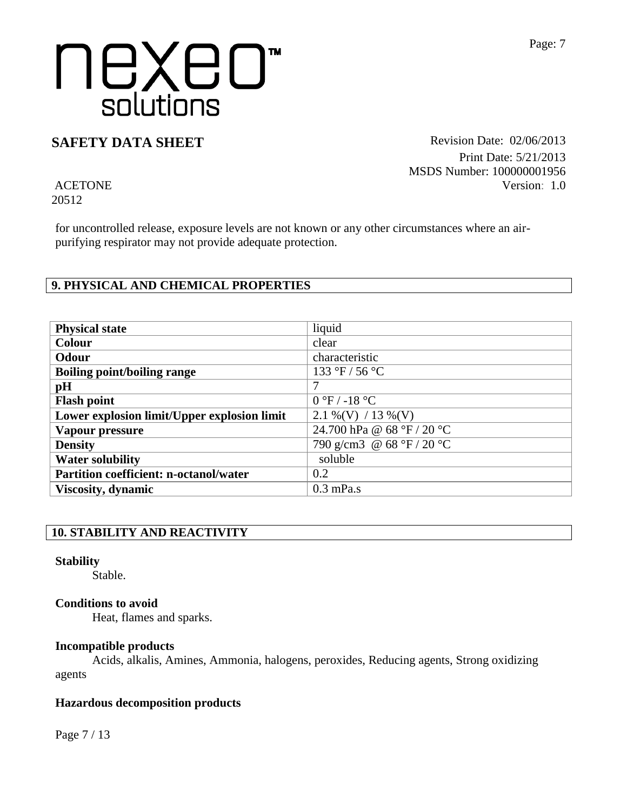### **SAFETY DATA SHEET** Revision Date: 02/06/2013

Print Date: 5/21/2013 MSDS Number: 100000001956 Version: 1.0

ACETONE 20512

for uncontrolled release, exposure levels are not known or any other circumstances where an airpurifying respirator may not provide adequate protection.

### **9. PHYSICAL AND CHEMICAL PROPERTIES**

| <b>Physical state</b>                         | liquid                          |
|-----------------------------------------------|---------------------------------|
| <b>Colour</b>                                 | clear                           |
| <b>Odour</b>                                  | characteristic                  |
| <b>Boiling point/boiling range</b>            | 133 °F / 56 °C                  |
| pH                                            | 7                               |
| <b>Flash point</b>                            | $0 \degree F$ / -18 $\degree C$ |
| Lower explosion limit/Upper explosion limit   | $2.1\%$ (V) / 13 % (V)          |
| Vapour pressure                               | 24.700 hPa @ 68 °F / 20 °C      |
| <b>Density</b>                                | 790 g/cm3 @ 68 °F / 20 °C       |
| <b>Water solubility</b>                       | soluble                         |
| <b>Partition coefficient: n-octanol/water</b> | 0.2                             |
| Viscosity, dynamic                            | $0.3$ mPa.s                     |

#### **10. STABILITY AND REACTIVITY**

#### **Stability**

Stable.

#### **Conditions to avoid**

Heat, flames and sparks.

#### **Incompatible products**

Acids, alkalis, Amines, Ammonia, halogens, peroxides, Reducing agents, Strong oxidizing agents

#### **Hazardous decomposition products**

Page 7 / 13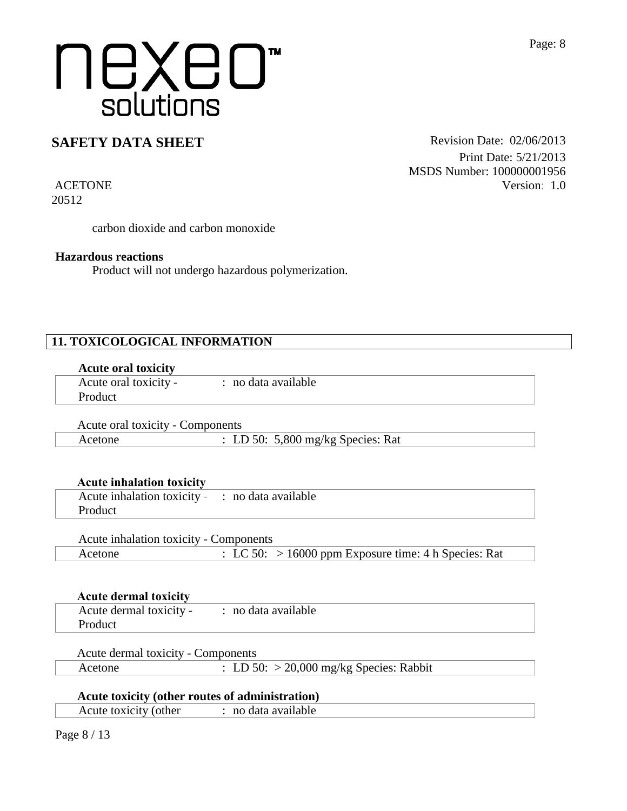## **SAFETY DATA SHEET** Revision Date: 02/06/2013

Print Date: 5/21/2013 MSDS Number: 100000001956 Version: 1.0

ACETONE 20512

carbon dioxide and carbon monoxide

#### **Hazardous reactions**

Product will not undergo hazardous polymerization.

#### **11. TOXICOLOGICAL INFORMATION**

|  | <b>Acute oral toxicity</b> |
|--|----------------------------|
|  |                            |

| Acute oral toxicity - | · no data available |  |
|-----------------------|---------------------|--|
| Product               |                     |  |
|                       |                     |  |

Acute oral toxicity - Components Acetone : LD 50: 5,800 mg/kg Species: Rat

|  |  |  | <b>Acute inhalation toxicity</b> |
|--|--|--|----------------------------------|
|--|--|--|----------------------------------|

| Acute inhalation toxicity - : no data available |  |
|-------------------------------------------------|--|
| Product                                         |  |
|                                                 |  |

| Acute inhalation toxicity - Components |                                                                 |
|----------------------------------------|-----------------------------------------------------------------|
| Acetone                                | $\therefore$ LC 50: > 16000 ppm Exposure time: 4 h Species: Rat |

| Acute dermal toxicity -<br>: no data available<br>Product | <b>Acute dermal toxicity</b> |  |
|-----------------------------------------------------------|------------------------------|--|
|                                                           |                              |  |

|  |  | <b>Acute dermal toxicity - Components</b> |
|--|--|-------------------------------------------|
|--|--|-------------------------------------------|

| Acetone | : LD 50: $>$ 20,000 mg/kg Species: Rabbit |
|---------|-------------------------------------------|
|---------|-------------------------------------------|

#### **Acute toxicity (other routes of administration)**

| Acute toxicity (other | · no data available |  |
|-----------------------|---------------------|--|
|                       |                     |  |

Page 8 / 13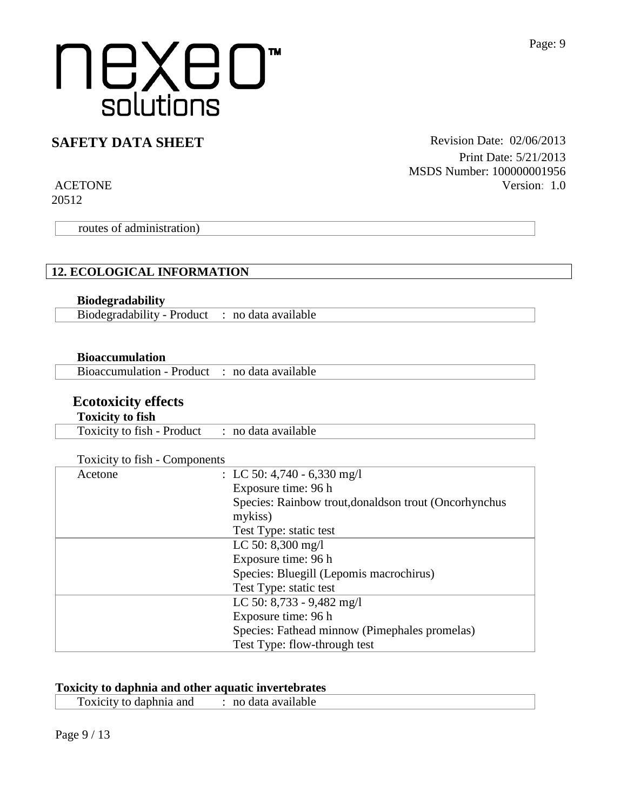## **SAFETY DATA SHEET** Revision Date: 02/06/2013

ACETONE 20512

routes of administration)

#### **12. ECOLOGICAL INFORMATION**

#### **Biodegradability**

Biodegradability - Product : no data available

#### **Bioaccumulation**

Bioaccumulation - Product : no data available

### **Ecotoxicity effects**

#### **Toxicity to fish**

Toxicity to fish - Product : no data available

|  | Toxicity to fish - Components |
|--|-------------------------------|
|  |                               |

| Acetone | : LC 50: 4,740 - 6,330 mg/l                           |
|---------|-------------------------------------------------------|
|         | Exposure time: 96 h                                   |
|         | Species: Rainbow trout, donaldson trout (Oncorhynchus |
|         | mykiss)                                               |
|         | Test Type: static test                                |
|         | LC 50: $8,300$ mg/l                                   |
|         | Exposure time: 96 h                                   |
|         | Species: Bluegill (Lepomis macrochirus)               |
|         | Test Type: static test                                |
|         | LC 50: $8,733 - 9,482$ mg/l                           |
|         | Exposure time: 96 h                                   |
|         | Species: Fathead minnow (Pimephales promelas)         |
|         | Test Type: flow-through test                          |

#### **Toxicity to daphnia and other aquatic invertebrates**

Toxicity to daphnia and : no data available

Print Date: 5/21/2013

Version: 1.0

MSDS Number: 100000001956

Page 9 / 13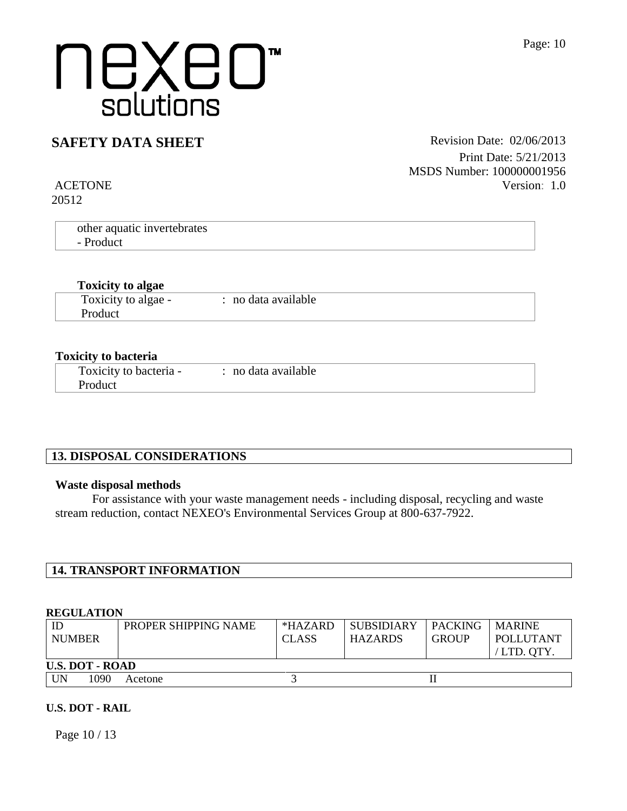### **SAFETY DATA SHEET** Revision Date: 02/06/2013

Print Date: 5/21/2013 MSDS Number: 100000001956 Version: 1.0

ACETONE 20512

| other aquatic invertebrates |  |  |
|-----------------------------|--|--|
| - Product                   |  |  |
|                             |  |  |

#### **Toxicity to algae**

| Toxicity to algae - | no data available |  |
|---------------------|-------------------|--|
|                     |                   |  |
| Product             |                   |  |
|                     |                   |  |

#### **Toxicity to bacteria**

| Toxicity to bacteria - | : no data available |
|------------------------|---------------------|
| Product                |                     |

### **13. DISPOSAL CONSIDERATIONS**

#### **Waste disposal methods**

For assistance with your waste management needs - including disposal, recycling and waste stream reduction, contact NEXEO's Environmental Services Group at 800-637-7922.

#### **14. TRANSPORT INFORMATION**

#### **REGULATION**

| ID<br><b>NUMBER</b>    | PROPER SHIPPING NAME | $*HAZARD$<br><b>CLASS</b> | <b>SUBSIDIARY</b><br><b>HAZARDS</b> | <b>PACKING</b><br><b>GROUP</b> | <b>MARINE</b><br>POLLUTANT<br>$/$ LTD. OTY. |
|------------------------|----------------------|---------------------------|-------------------------------------|--------------------------------|---------------------------------------------|
| <b>U.S. DOT - ROAD</b> |                      |                           |                                     |                                |                                             |
| UN<br>1090             | Acetone              |                           |                                     |                                |                                             |

#### **U.S. DOT - RAIL**

Page 10 / 13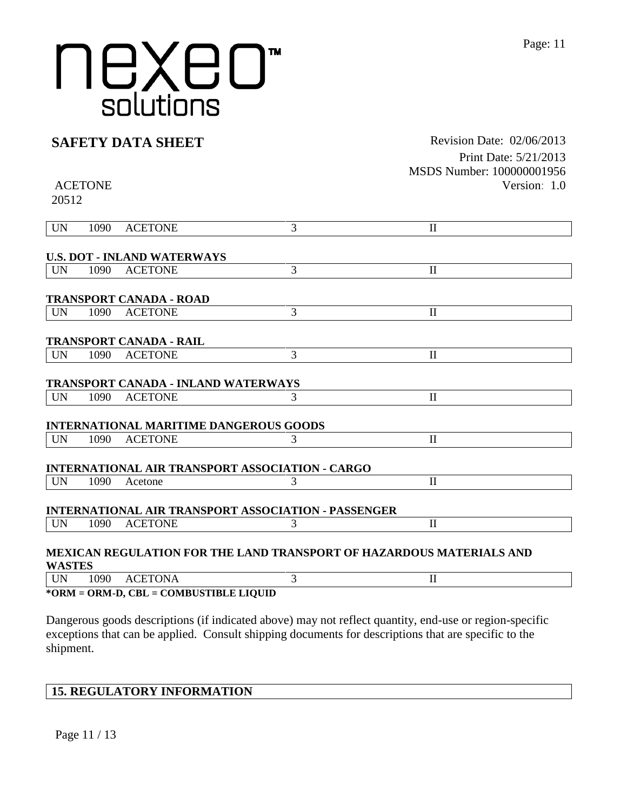### **SAFETY DATA SHEET** Revision Date: 02/06/2013

ACETONE

20512

Print Date: 5/21/2013 MSDS Number: 100000001956 Version: 1.0

| <b>UN</b>     | 1090 | <b>ACETONE</b>                                | 3                                                                           | $\mathbf{I}$ |  |
|---------------|------|-----------------------------------------------|-----------------------------------------------------------------------------|--------------|--|
|               |      |                                               |                                                                             |              |  |
|               |      | <b>U.S. DOT - INLAND WATERWAYS</b>            |                                                                             |              |  |
| <b>UN</b>     | 1090 | <b>ACETONE</b>                                | 3                                                                           | $\mathbf{I}$ |  |
|               |      |                                               |                                                                             |              |  |
|               |      | <b>TRANSPORT CANADA - ROAD</b>                |                                                                             |              |  |
| <b>UN</b>     | 1090 | <b>ACETONE</b>                                | 3                                                                           | $\mathbf{I}$ |  |
|               |      |                                               |                                                                             |              |  |
|               |      | <b>TRANSPORT CANADA - RAIL</b>                |                                                                             |              |  |
| <b>UN</b>     | 1090 | <b>ACETONE</b>                                | 3                                                                           | $\mathbf{I}$ |  |
|               |      |                                               |                                                                             |              |  |
|               |      | <b>TRANSPORT CANADA - INLAND WATERWAYS</b>    |                                                                             |              |  |
| <b>UN</b>     | 1090 | <b>ACETONE</b>                                | 3                                                                           | $\mathbf{I}$ |  |
|               |      |                                               |                                                                             |              |  |
|               |      | <b>INTERNATIONAL MARITIME DANGEROUS GOODS</b> |                                                                             |              |  |
| <b>UN</b>     | 1090 | <b>ACETONE</b>                                | 3                                                                           | $\mathbf{I}$ |  |
|               |      |                                               |                                                                             |              |  |
|               |      |                                               | <b>INTERNATIONAL AIR TRANSPORT ASSOCIATION - CARGO</b>                      |              |  |
| <b>UN</b>     | 1090 | Acetone                                       | 3                                                                           | $\mathbf{I}$ |  |
|               |      |                                               |                                                                             |              |  |
|               |      |                                               | <b>INTERNATIONAL AIR TRANSPORT ASSOCIATION - PASSENGER</b>                  |              |  |
| <b>UN</b>     | 1090 | <b>ACETONE</b>                                | 3                                                                           | $\mathbf{I}$ |  |
|               |      |                                               |                                                                             |              |  |
|               |      |                                               | <b>MEXICAN REGULATION FOR THE LAND TRANSPORT OF HAZARDOUS MATERIALS AND</b> |              |  |
| <b>WASTES</b> |      |                                               |                                                                             |              |  |
| <b>UN</b>     | 1090 | <b>ACETONA</b>                                | 3                                                                           | $\mathbf{I}$ |  |
|               |      | *ORM = ORM-D, CBL = COMBUSTIBLE LIQUID        |                                                                             |              |  |

Dangerous goods descriptions (if indicated above) may not reflect quantity, end-use or region-specific exceptions that can be applied. Consult shipping documents for descriptions that are specific to the shipment.

### **15. REGULATORY INFORMATION**

Page 11 / 13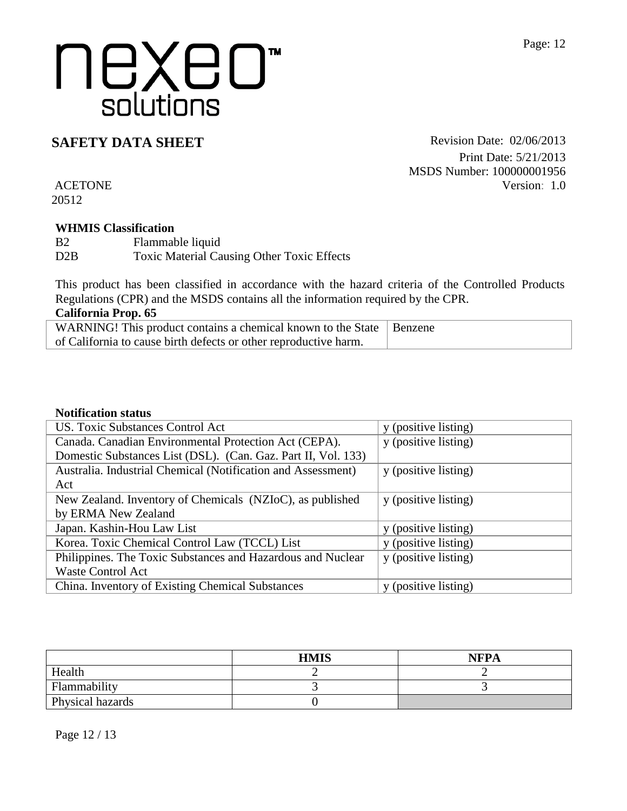**SAFETY DATA SHEET** Revision Date: 02/06/2013 Print Date: 5/21/2013 MSDS Number: 100000001956 Version: 1.0

ACETONE 20512

#### **WHMIS Classification**

B<sub>2</sub> Flammable liquid D2B Toxic Material Causing Other Toxic Effects

This product has been classified in accordance with the hazard criteria of the Controlled Products Regulations (CPR) and the MSDS contains all the information required by the CPR.

| <b>California Prop. 65</b> |  |
|----------------------------|--|
|                            |  |

| WARNING! This product contains a chemical known to the State   Benzene |  |
|------------------------------------------------------------------------|--|
| of California to cause birth defects or other reproductive harm.       |  |

### **Notification status**

| US. Toxic Substances Control Act                              | y (positive listing) |
|---------------------------------------------------------------|----------------------|
| Canada. Canadian Environmental Protection Act (CEPA).         | y (positive listing) |
| Domestic Substances List (DSL). (Can. Gaz. Part II, Vol. 133) |                      |
| Australia. Industrial Chemical (Notification and Assessment)  | y (positive listing) |
| Act                                                           |                      |
| New Zealand. Inventory of Chemicals (NZIoC), as published     | y (positive listing) |
| by ERMA New Zealand                                           |                      |
| Japan. Kashin-Hou Law List                                    | y (positive listing) |
| Korea. Toxic Chemical Control Law (TCCL) List                 | y (positive listing) |
| Philippines. The Toxic Substances and Hazardous and Nuclear   | y (positive listing) |
| <b>Waste Control Act</b>                                      |                      |
| China. Inventory of Existing Chemical Substances              | y (positive listing) |

|                  | <b>HMIS</b> | <b>NFPA</b> |
|------------------|-------------|-------------|
| Health           |             |             |
| Flammability     |             |             |
| Physical hazards |             |             |